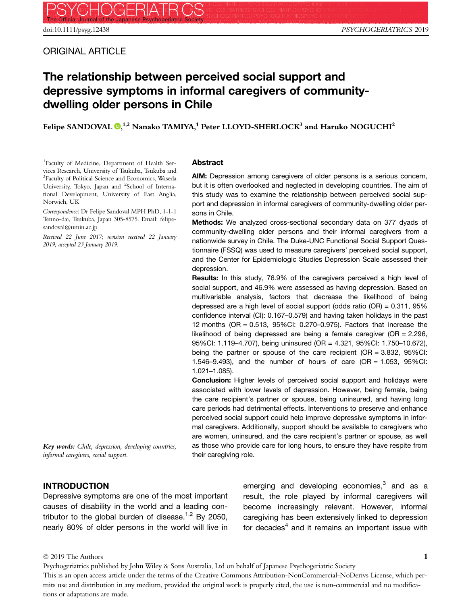ORIGINAL ARTICLE

# The relationship between perceived social support and depressive symptoms in informal caregivers of communitydwelling older persons in Chile

Felipe SANDOVAL  $\mathbf{Q},^{1,2}$  $\mathbf{Q},^{1,2}$  $\mathbf{Q},^{1,2}$  Nanako TAMIYA, $^1$  Peter LLOYD-SHERLOCK $^3$  and Haruko NOGUCHI $^2$ 

1 Faculty of Medicine, Department of Health Services Research, University of Tsukuba, Tsukuba and <sup>3</sup>Faculty of Political Science and Economics, Waseda University, Tokyo, Japan and <sup>2</sup>School of International Development, University of East Anglia, Norwich, UK

Correspondence: Dr Felipe Sandoval MPH PhD, 1-1-1 Tenno-dai, Tsukuba, Japan 305-8575. Email: felipesandoval@umin.ac.jp

Received 22 June 2017; revision received 22 January 2019; accepted 23 January 2019.

#### Abstract

AIM: Depression among caregivers of older persons is a serious concern, but it is often overlooked and neglected in developing countries. The aim of this study was to examine the relationship between perceived social support and depression in informal caregivers of community-dwelling older persons in Chile.

Methods: We analyzed cross-sectional secondary data on 377 dyads of community-dwelling older persons and their informal caregivers from a nationwide survey in Chile. The Duke-UNC Functional Social Support Questionnaire (FSSQ) was used to measure caregivers' perceived social support, and the Center for Epidemiologic Studies Depression Scale assessed their depression.

Results: In this study, 76.9% of the caregivers perceived a high level of social support, and 46.9% were assessed as having depression. Based on multivariable analysis, factors that decrease the likelihood of being depressed are a high level of social support (odds ratio (OR) = 0.311, 95% confidence interval (CI): 0.167–0.579) and having taken holidays in the past 12 months (OR = 0.513, 95%CI: 0.270–0.975). Factors that increase the likelihood of being depressed are being a female caregiver (OR = 2.296, 95%CI: 1.119–4.707), being uninsured (OR = 4.321, 95%CI: 1.750–10.672), being the partner or spouse of the care recipient  $(OR = 3.832, 95\% CI$ : 1.546–9.493), and the number of hours of care (OR = 1.053, 95%CI: 1.021–1.085).

Conclusion: Higher levels of perceived social support and holidays were associated with lower levels of depression. However, being female, being the care recipient's partner or spouse, being uninsured, and having long care periods had detrimental effects. Interventions to preserve and enhance perceived social support could help improve depressive symptoms in informal caregivers. Additionally, support should be available to caregivers who are women, uninsured, and the care recipient's partner or spouse, as well as those who provide care for long hours, to ensure they have respite from their caregiving role.

Key words: Chile, depression, developing countries, informal caregivers, social support.

## INTRODUCTION

Depressive symptoms are one of the most important causes of disability in the world and a leading contributor to the global burden of disease.<sup>1,2</sup> By 2050, nearly 80% of older persons in the world will live in

emerging and developing economies, $3$  and as a result, the role played by informal caregivers will become increasingly relevant. However, informal caregiving has been extensively linked to depression for decades $4$  and it remains an important issue with

#### © 2019 The Authors

Psychogeriatrics published by John Wiley & Sons Australia, Ltd on behalf of Japanese Psychogeriatric Society This is an open access article under the terms of the [Creative Commons Attribution-NonCommercial-NoDerivs](http://creativecommons.org/licenses/by-nc-nd/4.0/) License, which permits use and distribution in any medium, provided the original work is properly cited, the use is non-commercial and no modifications or adaptations are made.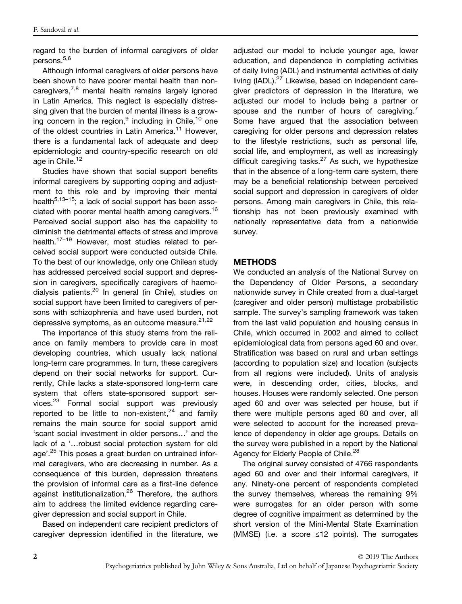regard to the burden of informal caregivers of older persons.5,6

Although informal caregivers of older persons have been shown to have poorer mental health than noncaregivers,<sup>7,8</sup> mental health remains largely ignored in Latin America. This neglect is especially distressing given that the burden of mental illness is a growing concern in the region, $9$  including in Chile,  $10$  one of the oldest countries in Latin America.<sup>11</sup> However, there is a fundamental lack of adequate and deep epidemiologic and country-specific research on old age in Chile.<sup>12</sup>

Studies have shown that social support benefits informal caregivers by supporting coping and adjustment to this role and by improving their mental health<sup>5,13–15</sup>; a lack of social support has been associated with poorer mental health among caregivers.<sup>16</sup> Perceived social support also has the capability to diminish the detrimental effects of stress and improve health.<sup>17–19</sup> However, most studies related to perceived social support were conducted outside Chile. To the best of our knowledge, only one Chilean study has addressed perceived social support and depression in caregivers, specifically caregivers of haemodialysis patients.<sup>20</sup> In general (in Chile), studies on social support have been limited to caregivers of persons with schizophrenia and have used burden, not depressive symptoms, as an outcome measure. $21,22$ 

The importance of this study stems from the reliance on family members to provide care in most developing countries, which usually lack national long-term care programmes. In turn, these caregivers depend on their social networks for support. Currently, Chile lacks a state-sponsored long-term care system that offers state-sponsored support services.<sup>23</sup> Formal social support was previously reported to be little to non-existent, $24$  and family remains the main source for social support amid 'scant social investment in older persons…' and the lack of a '…robust social protection system for old age'.<sup>25</sup> This poses a great burden on untrained informal caregivers, who are decreasing in number. As a consequence of this burden, depression threatens the provision of informal care as a first-line defence against institutionalization.<sup>26</sup> Therefore, the authors aim to address the limited evidence regarding caregiver depression and social support in Chile.

Based on independent care recipient predictors of caregiver depression identified in the literature, we adjusted our model to include younger age, lower education, and dependence in completing activities of daily living (ADL) and instrumental activities of daily living (IADL).<sup>27</sup> Likewise, based on independent caregiver predictors of depression in the literature, we adjusted our model to include being a partner or spouse and the number of hours of caregiving.<sup>7</sup> Some have argued that the association between caregiving for older persons and depression relates to the lifestyle restrictions, such as personal life, social life, and employment, as well as increasingly difficult caregiving tasks. $27$  As such, we hypothesize that in the absence of a long-term care system, there may be a beneficial relationship between perceived social support and depression in caregivers of older persons. Among main caregivers in Chile, this relationship has not been previously examined with nationally representative data from a nationwide survey.

# **METHODS**

We conducted an analysis of the National Survey on the Dependency of Older Persons, a secondary nationwide survey in Chile created from a dual-target (caregiver and older person) multistage probabilistic sample. The survey's sampling framework was taken from the last valid population and housing census in Chile, which occurred in 2002 and aimed to collect epidemiological data from persons aged 60 and over. Stratification was based on rural and urban settings (according to population size) and location (subjects from all regions were included). Units of analysis were, in descending order, cities, blocks, and houses. Houses were randomly selected. One person aged 60 and over was selected per house, but if there were multiple persons aged 80 and over, all were selected to account for the increased prevalence of dependency in older age groups. Details on the survey were published in a report by the National Agency for Elderly People of Chile.<sup>28</sup>

The original survey consisted of 4766 respondents aged 60 and over and their informal caregivers, if any. Ninety-one percent of respondents completed the survey themselves, whereas the remaining 9% were surrogates for an older person with some degree of cognitive impairment as determined by the short version of the Mini-Mental State Examination (MMSE) (i.e. a score ≤12 points). The surrogates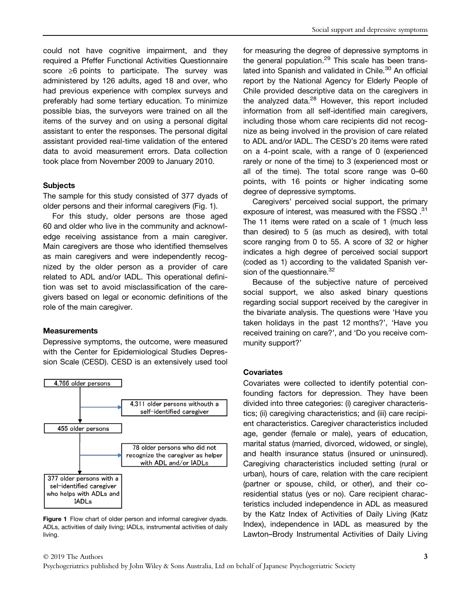could not have cognitive impairment, and they required a Pfeffer Functional Activities Questionnaire score ≥6 points to participate. The survey was administered by 126 adults, aged 18 and over, who had previous experience with complex surveys and preferably had some tertiary education. To minimize possible bias, the surveyors were trained on all the items of the survey and on using a personal digital assistant to enter the responses. The personal digital assistant provided real-time validation of the entered data to avoid measurement errors. Data collection took place from November 2009 to January 2010.

## **Subjects**

The sample for this study consisted of 377 dyads of older persons and their informal caregivers (Fig. 1).

For this study, older persons are those aged 60 and older who live in the community and acknowledge receiving assistance from a main caregiver. Main caregivers are those who identified themselves as main caregivers and were independently recognized by the older person as a provider of care related to ADL and/or IADL. This operational definition was set to avoid misclassification of the caregivers based on legal or economic definitions of the role of the main caregiver.

#### **Measurements**

Depressive symptoms, the outcome, were measured with the Center for Epidemiological Studies Depression Scale (CESD). CESD is an extensively used tool



Figure 1 Flow chart of older person and informal caregiver dyads. ADLs, activities of daily living; IADLs, instrumental activities of daily living.

for measuring the degree of depressive symptoms in the general population.<sup>29</sup> This scale has been translated into Spanish and validated in Chile.<sup>30</sup> An official report by the National Agency for Elderly People of Chile provided descriptive data on the caregivers in the analyzed data.<sup>28</sup> However, this report included information from all self-identified main caregivers, including those whom care recipients did not recognize as being involved in the provision of care related to ADL and/or IADL. The CESD's 20 items were rated on a 4-point scale, with a range of 0 (experienced rarely or none of the time) to 3 (experienced most or all of the time). The total score range was 0–60 points, with 16 points or higher indicating some degree of depressive symptoms.

Caregivers' perceived social support, the primary exposure of interest, was measured with the FSSQ .<sup>31</sup> The 11 items were rated on a scale of 1 (much less than desired) to 5 (as much as desired), with total score ranging from 0 to 55. A score of 32 or higher indicates a high degree of perceived social support (coded as 1) according to the validated Spanish version of the questionnaire.<sup>32</sup>

Because of the subjective nature of perceived social support, we also asked binary questions regarding social support received by the caregiver in the bivariate analysis. The questions were 'Have you taken holidays in the past 12 months?', 'Have you received training on care?', and 'Do you receive community support?'

#### **Covariates**

Covariates were collected to identify potential confounding factors for depression. They have been divided into three categories: (i) caregiver characteristics; (ii) caregiving characteristics; and (iii) care recipient characteristics. Caregiver characteristics included age, gender (female or male), years of education, marital status (married, divorced, widowed, or single), and health insurance status (insured or uninsured). Caregiving characteristics included setting (rural or urban), hours of care, relation with the care recipient (partner or spouse, child, or other), and their coresidential status (yes or no). Care recipient characteristics included independence in ADL as measured by the Katz Index of Activities of Daily Living (Katz Index), independence in IADL as measured by the Lawton–Brody Instrumental Activities of Daily Living

#### © 2019 The Authors

Psychogeriatrics published by John Wiley & Sons Australia, Ltd on behalf of Japanese Psychogeriatric Society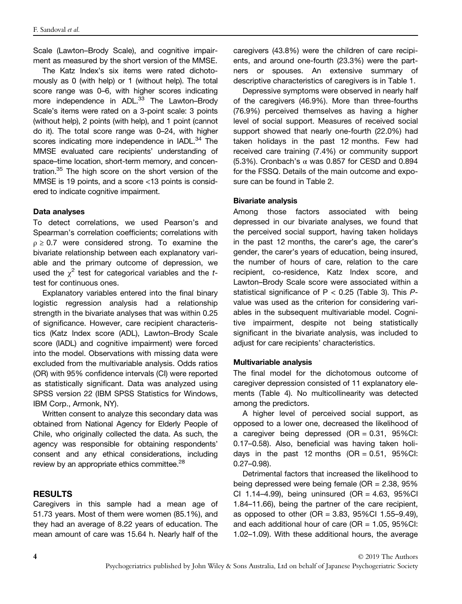Scale (Lawton–Brody Scale), and cognitive impairment as measured by the short version of the MMSE.

The Katz Index's six items were rated dichotomously as 0 (with help) or 1 (without help). The total score range was 0–6, with higher scores indicating more independence in ADL.<sup>33</sup> The Lawton–Brody Scale's items were rated on a 3-point scale: 3 points (without help), 2 points (with help), and 1 point (cannot do it). The total score range was 0–24, with higher scores indicating more independence in IADL.<sup>34</sup> The MMSE evaluated care recipients' understanding of space–time location, short-term memory, and concentration.<sup>35</sup> The high score on the short version of the MMSE is 19 points, and a score <13 points is considered to indicate cognitive impairment.

## Data analyses

To detect correlations, we used Pearson's and Spearman's correlation coefficients; correlations with  $\rho \geq 0.7$  were considered strong. To examine the bivariate relationship between each explanatory variable and the primary outcome of depression, we used the  $\chi^2$  test for categorical variables and the ttest for continuous ones.

Explanatory variables entered into the final binary logistic regression analysis had a relationship strength in the bivariate analyses that was within 0.25 of significance. However, care recipient characteristics (Katz Index score (ADL), Lawton–Brody Scale score (IADL) and cognitive impairment) were forced into the model. Observations with missing data were excluded from the multivariable analysis. Odds ratios (OR) with 95% confidence intervals (CI) were reported as statistically significant. Data was analyzed using SPSS version 22 (IBM SPSS Statistics for Windows, IBM Corp., Armonk, NY).

Written consent to analyze this secondary data was obtained from National Agency for Elderly People of Chile, who originally collected the data. As such, the agency was responsible for obtaining respondents' consent and any ethical considerations, including review by an appropriate ethics committee.<sup>28</sup>

# RESULTS

Caregivers in this sample had a mean age of 51.73 years. Most of them were women (85.1%), and they had an average of 8.22 years of education. The mean amount of care was 15.64 h. Nearly half of the caregivers (43.8%) were the children of care recipients, and around one-fourth (23.3%) were the partners or spouses. An extensive summary of descriptive characteristics of caregivers is in Table 1.

Depressive symptoms were observed in nearly half of the caregivers (46.9%). More than three-fourths (76.9%) perceived themselves as having a higher level of social support. Measures of received social support showed that nearly one-fourth (22.0%) had taken holidays in the past 12 months. Few had received care training (7.4%) or community support (5.3%). Cronbach's  $\alpha$  was 0.857 for CESD and 0.894 for the FSSQ. Details of the main outcome and exposure can be found in Table 2.

# Bivariate analysis

Among those factors associated with being depressed in our bivariate analyses, we found that the perceived social support, having taken holidays in the past 12 months, the carer's age, the carer's gender, the carer's years of education, being insured, the number of hours of care, relation to the care recipient, co-residence, Katz Index score, and Lawton–Brody Scale score were associated within a statistical significance of  $P < 0.25$  (Table 3). This  $P$ value was used as the criterion for considering variables in the subsequent multivariable model. Cognitive impairment, despite not being statistically significant in the bivariate analysis, was included to adjust for care recipients' characteristics.

## Multivariable analysis

The final model for the dichotomous outcome of caregiver depression consisted of 11 explanatory elements (Table 4). No multicollinearity was detected among the predictors.

A higher level of perceived social support, as opposed to a lower one, decreased the likelihood of a caregiver being depressed  $(OR = 0.31, 95\% CI:$ 0.17–0.58). Also, beneficial was having taken holidays in the past 12 months  $(OR = 0.51, 95\% CI$ : 0.27–0.98).

Detrimental factors that increased the likelihood to being depressed were being female (OR = 2.38, 95% CI 1.14–4.99), being uninsured (OR = 4.63, 95%CI 1.84–11.66), being the partner of the care recipient, as opposed to other (OR = 3.83, 95%CI 1.55–9.49), and each additional hour of care (OR = 1.05, 95%CI: 1.02–1.09). With these additional hours, the average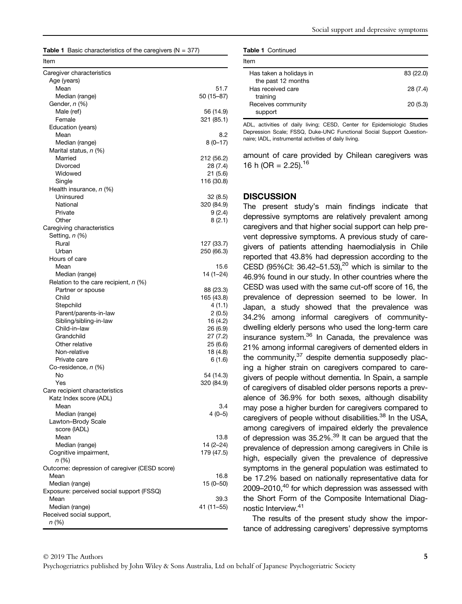|  |  | <b>Table 1</b> Basic characteristics of the caregivers ( $N = 377$ ) |  |  |
|--|--|----------------------------------------------------------------------|--|--|
|--|--|----------------------------------------------------------------------|--|--|

| Item                                                   |                      |
|--------------------------------------------------------|----------------------|
| Caregiver characteristics                              |                      |
| Age (years)                                            |                      |
| Mean                                                   | 51.7                 |
| Median (range)                                         | 50 (15-87)           |
| Gender, n (%)                                          |                      |
| Male (ref)                                             | 56 (14.9)            |
| Female<br>Education (years)                            | 321 (85.1)           |
| Mean                                                   | 8.2                  |
| Median (range)                                         | $8(0-17)$            |
| Marital status, n (%)                                  |                      |
| Married                                                | 212 (56.2)           |
| Divorced                                               | 28 (7.4)             |
| Widowed                                                | 21 (5.6)             |
| Single                                                 | 116 (30.8)           |
| Health insurance, n (%)                                |                      |
| Uninsured                                              | 32 (8.5)             |
| National                                               | 320 (84.9)           |
| Private                                                | 9(2.4)               |
| Other                                                  | 8 (2.1)              |
| Caregiving characteristics                             |                      |
| Setting, n (%)<br>Rural                                | 127 (33.7)           |
| Urban                                                  | 250 (66.3)           |
| Hours of care                                          |                      |
| Mean                                                   | 15.6                 |
| Median (range)                                         | 14 (1-24)            |
| Relation to the care recipient, $n$ (%)                |                      |
| Partner or spouse                                      | 88 (23.3)            |
| Child                                                  | 165 (43.8)           |
| Stepchild                                              | 4(1.1)               |
| Parent/parents-in-law                                  | 2(0.5)               |
| Sibling/sibling-in-law                                 | 16 (4.2)             |
| Child-in-law                                           | 26 (6.9)             |
| Grandchild<br>Other relative                           | 27 (7.2)             |
| Non-relative                                           | 25 (6.6)<br>18 (4.8) |
| Private care                                           | 6(1.6)               |
| Co-residence, n (%)                                    |                      |
| No                                                     | 54 (14.3)            |
| Yes                                                    | 320 (84.9)           |
| Care recipient characteristics                         |                      |
| Katz Index score (ADL)                                 |                      |
| Mean                                                   | 3.4                  |
| Median (range)                                         | $4(0-5)$             |
| Lawton-Brody Scale                                     |                      |
| score (IADL)                                           |                      |
| Mean                                                   | 13.8                 |
| Median (range)                                         | 14 (2–24)            |
| Cognitive impairment,                                  | 179 (47.5)           |
| n (%)<br>Outcome: depression of caregiver (CESD score) |                      |
| Mean                                                   | 16.8                 |
| Median (range)                                         | 15 (0–50)            |
| Exposure: perceived social support (FSSQ)              |                      |
| Mean                                                   | 39.3                 |
| Median (range)                                         | 41 (11–55)           |
| Received social support,                               |                      |
| n (%)                                                  |                      |
|                                                        |                      |

| <b>Table 1 Continued</b> |  |  |  |
|--------------------------|--|--|--|
|--------------------------|--|--|--|

| ltem                          |           |
|-------------------------------|-----------|
| Has taken a holidays in       | 83 (22.0) |
| the past 12 months            |           |
| Has received care             | 28 (7.4)  |
| training                      |           |
| Receives community<br>support | 20(5.3)   |

ADL, activities of daily living; CESD, Center for Epidemiologic Studies Depression Scale; FSSQ, Duke-UNC Functional Social Support Questionnaire; IADL, instrumental activities of daily living.

amount of care provided by Chilean caregivers was 16 h (OR =  $2.25$ ).<sup>16</sup>

## **DISCUSSION**

The present study's main findings indicate that depressive symptoms are relatively prevalent among caregivers and that higher social support can help prevent depressive symptoms. A previous study of caregivers of patients attending haemodialysis in Chile reported that 43.8% had depression according to the CESD (95%CI: 36.42–51.53), $20$  which is similar to the 46.9% found in our study. In other countries where the CESD was used with the same cut-off score of 16, the prevalence of depression seemed to be lower. In Japan, a study showed that the prevalence was 34.2% among informal caregivers of communitydwelling elderly persons who used the long-term care insurance system.<sup>36</sup> In Canada, the prevalence was 21% among informal caregivers of demented elders in the community, $37$  despite dementia supposedly placing a higher strain on caregivers compared to caregivers of people without dementia. In Spain, a sample of caregivers of disabled older persons reports a prevalence of 36.9% for both sexes, although disability may pose a higher burden for caregivers compared to caregivers of people without disabilities.<sup>38</sup> In the USA, among caregivers of impaired elderly the prevalence of depression was  $35.2\%$ .<sup>39</sup> It can be argued that the prevalence of depression among caregivers in Chile is high, especially given the prevalence of depressive symptoms in the general population was estimated to be 17.2% based on nationally representative data for 2009–2010,<sup>40</sup> for which depression was assessed with the Short Form of the Composite International Diagnostic Interview.41

The results of the present study show the importance of addressing caregivers' depressive symptoms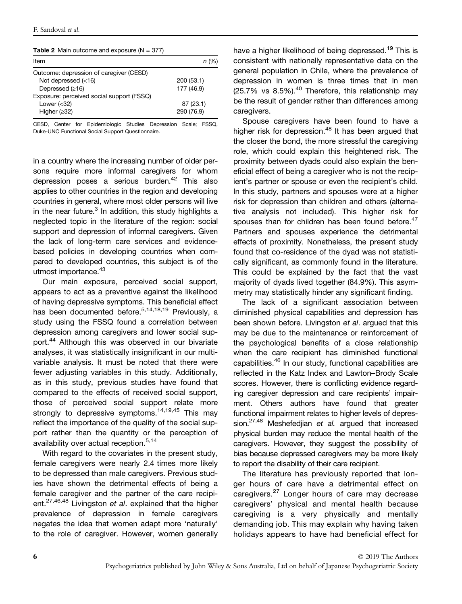| ltem                                      | n (%)      |
|-------------------------------------------|------------|
| Outcome: depression of caregiver (CESD)   |            |
| Not depressed $(<16)$                     | 200 (53.1) |
| Depressed $(≥16)$                         | 177 (46.9) |
| Exposure: perceived social support (FSSQ) |            |
| Lower $(32)$                              | 87 (23.1)  |
| Higher $(232)$                            | 290 (76.9) |

CESD, Center for Epidemiologic Studies Depression Scale; FSSQ, Duke-UNC Functional Social Support Questionnaire.

in a country where the increasing number of older persons require more informal caregivers for whom depression poses a serious burden.<sup>42</sup> This also applies to other countries in the region and developing countries in general, where most older persons will live in the near future. $3$  In addition, this study highlights a neglected topic in the literature of the region: social support and depression of informal caregivers. Given the lack of long-term care services and evidencebased policies in developing countries when compared to developed countries, this subject is of the utmost importance.<sup>43</sup>

Our main exposure, perceived social support, appears to act as a preventive against the likelihood of having depressive symptoms. This beneficial effect has been documented before.<sup>5,14,18,19</sup> Previously, a study using the FSSQ found a correlation between depression among caregivers and lower social support.<sup>44</sup> Although this was observed in our bivariate analyses, it was statistically insignificant in our multivariable analysis. It must be noted that there were fewer adjusting variables in this study. Additionally, as in this study, previous studies have found that compared to the effects of received social support, those of perceived social support relate more strongly to depressive symptoms.<sup>14,19,45</sup> This may reflect the importance of the quality of the social support rather than the quantity or the perception of availability over actual reception.<sup>5,14</sup>

With regard to the covariates in the present study, female caregivers were nearly 2.4 times more likely to be depressed than male caregivers. Previous studies have shown the detrimental effects of being a female caregiver and the partner of the care recipient.<sup>27,46,48</sup> Livingston et al. explained that the higher prevalence of depression in female caregivers negates the idea that women adapt more 'naturally' to the role of caregiver. However, women generally

have a higher likelihood of being depressed.<sup>19</sup> This is consistent with nationally representative data on the general population in Chile, where the prevalence of depression in women is three times that in men  $(25.7\% \text{ vs } 8.5\%).^{40}$  Therefore, this relationship may be the result of gender rather than differences among caregivers.

Spouse caregivers have been found to have a higher risk for depression.<sup>48</sup> It has been argued that the closer the bond, the more stressful the caregiving role, which could explain this heightened risk. The proximity between dyads could also explain the beneficial effect of being a caregiver who is not the recipient's partner or spouse or even the recipient's child. In this study, partners and spouses were at a higher risk for depression than children and others (alternative analysis not included). This higher risk for spouses than for children has been found before.<sup>47</sup> Partners and spouses experience the detrimental effects of proximity. Nonetheless, the present study found that co-residence of the dyad was not statistically significant, as commonly found in the literature. This could be explained by the fact that the vast majority of dyads lived together (84.9%). This asymmetry may statistically hinder any significant finding.

The lack of a significant association between diminished physical capabilities and depression has been shown before. Livingston et al. argued that this may be due to the maintenance or reinforcement of the psychological benefits of a close relationship when the care recipient has diminished functional capabilities.<sup>46</sup> In our study, functional capabilities are reflected in the Katz Index and Lawton–Brody Scale scores. However, there is conflicting evidence regarding caregiver depression and care recipients' impairment. Others authors have found that greater functional impairment relates to higher levels of depression.<sup>27,48</sup> Meshefedjian et al. argued that increased physical burden may reduce the mental health of the caregivers. However, they suggest the possibility of bias because depressed caregivers may be more likely to report the disability of their care recipient.

The literature has previously reported that longer hours of care have a detrimental effect on caregivers.<sup>27</sup> Longer hours of care may decrease caregivers' physical and mental health because caregiving is a very physically and mentally demanding job. This may explain why having taken holidays appears to have had beneficial effect for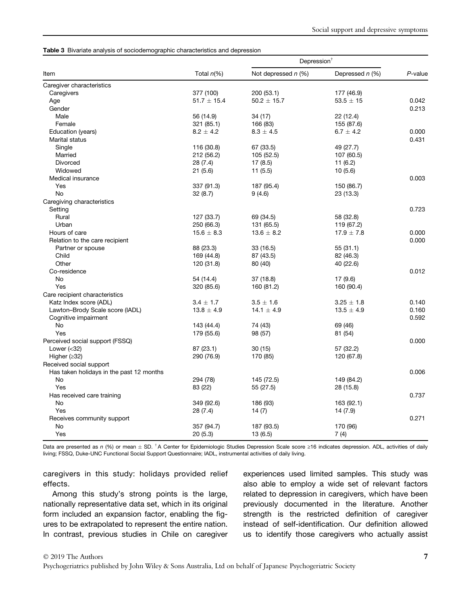#### Table 3 Bivariate analysis of sociodemographic characteristics and depression

|                                          |                 | Depression <sup>®</sup> |                   |         |
|------------------------------------------|-----------------|-------------------------|-------------------|---------|
| Item                                     | Total $n\ll 0$  | Not depressed $n$ (%)   | Depressed $n$ (%) | P-value |
| Caregiver characteristics                |                 |                         |                   |         |
| Caregivers                               | 377 (100)       | 200 (53.1)              | 177 (46.9)        |         |
| Age                                      | $51.7 \pm 15.4$ | $50.2 \pm 15.7$         | $53.5 \pm 15$     | 0.042   |
| Gender                                   |                 |                         |                   | 0.213   |
| Male                                     | 56 (14.9)       | 34 (17)                 | 22 (12.4)         |         |
| Female                                   | 321 (85.1)      | 166 (83)                | 155 (87.6)        |         |
| Education (years)                        | $8.2 \pm 4.2$   | $8.3 \pm 4.5$           | 6.7 $\pm$ 4.2     | 0.000   |
| Marital status                           |                 |                         |                   | 0.431   |
| Single                                   | 116 (30.8)      | 67 (33.5)               | 49 (27.7)         |         |
| Married                                  | 212 (56.2)      | 105 (52.5)              | 107 (60.5)        |         |
| <b>Divorced</b>                          | 28 (7.4)        | 17(8.5)                 | 11(6.2)           |         |
| Widowed                                  | 21(5.6)         | 11(5.5)                 | 10(5.6)           |         |
| Medical insurance                        |                 |                         |                   | 0.003   |
| Yes                                      | 337 (91.3)      | 187 (95.4)              | 150 (86.7)        |         |
| <b>No</b>                                | 32(8.7)         | 9(4.6)                  | 23 (13.3)         |         |
| Caregiving characteristics               |                 |                         |                   |         |
| Setting                                  |                 |                         |                   | 0.723   |
| Rural                                    | 127 (33.7)      | 69 (34.5)               | 58 (32.8)         |         |
| Urban                                    | 250 (66.3)      | 131 (65.5)              | 119 (67.2)        |         |
| Hours of care                            | $15.6 \pm 8.3$  | $13.6 \pm 8.2$          | $17.9 \pm 7.8$    | 0.000   |
| Relation to the care recipient           |                 |                         |                   | 0.000   |
| Partner or spouse                        | 88 (23.3)       | 33 (16.5)               | 55(31.1)          |         |
| Child                                    | 169 (44.8)      | 87 (43.5)               | 82 (46.3)         |         |
| Other                                    | 120 (31.8)      | 80 (40)                 | 40 (22.6)         |         |
| Co-residence                             |                 |                         |                   | 0.012   |
| No                                       | 54 (14.4)       | 37 (18.8)               | 17(9.6)           |         |
| Yes                                      | 320 (85.6)      | 160 (81.2)              | 160 (90.4)        |         |
| Care recipient characteristics           |                 |                         |                   |         |
| Katz Index score (ADL)                   | $3.4 \pm 1.7$   | $3.5 \pm 1.6$           | $3.25 \pm 1.8$    | 0.140   |
| Lawton-Brody Scale score (IADL)          | $13.8 \pm 4.9$  | 14.1 $\pm$ 4.9          | $13.5 \pm 4.9$    | 0.160   |
| Cognitive impairment                     |                 |                         |                   | 0.592   |
| No                                       | 143 (44.4)      | 74 (43)                 | 69 (46)           |         |
| Yes                                      | 179 (55.6)      | 98 (57)                 | 81 (54)           |         |
| Perceived social support (FSSQ)          |                 |                         |                   | 0.000   |
| Lower $(32)$                             | 87 (23.1)       | 30 (15)                 | 57 (32.2)         |         |
| Higher $(≥32)$                           | 290 (76.9)      | 170 (85)                | 120 (67.8)        |         |
| Received social support                  |                 |                         |                   |         |
| Has taken holidays in the past 12 months |                 |                         |                   | 0.006   |
| <b>No</b>                                |                 |                         | 149 (84.2)        |         |
| Yes                                      | 294 (78)        | 145 (72.5)              |                   |         |
|                                          | 83 (22)         | 55 (27.5)               | 28 (15.8)         | 0.737   |
| Has received care training               |                 |                         |                   |         |
| No                                       | 349 (92.6)      | 186 (93)                | 163 (92.1)        |         |
| Yes                                      | 28 (7.4)        | 14(7)                   | 14 (7.9)          |         |
| Receives community support               |                 |                         |                   | 0.271   |
| No                                       | 357 (94.7)      | 187 (93.5)              | 170 (96)          |         |
| Yes                                      | 20(5.3)         | 13 (6.5)                | 7(4)              |         |

Data are presented as n (%) or mean  $\pm$  SD. <sup>†</sup>A Center for Epidemiologic Studies Depression Scale score ≥16 indicates depression. ADL, activities of daily living; FSSQ, Duke-UNC Functional Social Support Questionnaire; IADL, instrumental activities of daily living.

caregivers in this study: holidays provided relief effects.

Among this study's strong points is the large, nationally representative data set, which in its original form included an expansion factor, enabling the figures to be extrapolated to represent the entire nation. In contrast, previous studies in Chile on caregiver experiences used limited samples. This study was also able to employ a wide set of relevant factors related to depression in caregivers, which have been previously documented in the literature. Another strength is the restricted definition of caregiver instead of self-identification. Our definition allowed us to identify those caregivers who actually assist

#### © 2019 The Authors

Psychogeriatrics published by John Wiley & Sons Australia, Ltd on behalf of Japanese Psychogeriatric Society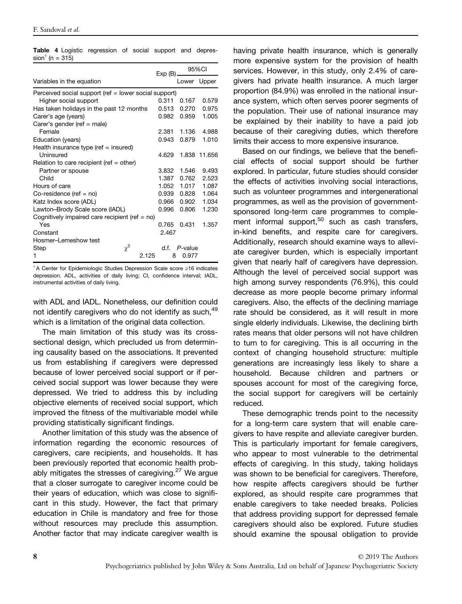|                                                       | $Exp(B)$ . | 95%CI   |              |  |
|-------------------------------------------------------|------------|---------|--------------|--|
| Variables in the equation                             |            |         | Lower Upper  |  |
| Perceived social support (ref = lower social support) |            |         |              |  |
| Higher social support                                 | 0.311      | 0.167   | 0.579        |  |
| Has taken holidays in the past 12 months              | 0.513      | 0.270   | 0.975        |  |
| Carer's age (years)                                   | 0.982      | 0.959   | 1.005        |  |
| Carer's gender (ref = male)                           |            |         |              |  |
| Female                                                | 2.381      | 1.136   | 4.988        |  |
| Education (years)                                     | 0.943      | 0.879   | 1.010        |  |
| Health insurance type (ref $=$ insured)               |            |         |              |  |
| Uninsured                                             | 4.629      |         | 1.838 11.656 |  |
| Relation to care recipient (ref $=$ other)            |            |         |              |  |
| Partner or spouse                                     | 3.832      | 1.546   | 9.493        |  |
| Child                                                 | 1.387      | 0.762   | 2.523        |  |
| Hours of care                                         | 1.052      | 1.017   | 1.087        |  |
| Co-residence (ref = $no$ )                            | 0.939      | 0.828   | 1.064        |  |
| Katz Index score (ADL)                                | 0.966      | 0.902   | 1.034        |  |
| Lawton-Brody Scale score (IADL)                       | 0.996      | 0.806   | 1.230        |  |
| Cognitively impaired care recipient (ref = $no$ )     |            |         |              |  |
| Yes                                                   | 0.765      | 0.431   | 1.357        |  |
| Constant                                              | 2.467      |         |              |  |
| Hosmer-Lemeshow test                                  |            |         |              |  |
| $\chi^2$<br>Step                                      | d.f.       | P-value |              |  |
| 2.125<br>1                                            | 8          | 0.977   |              |  |

Table 4 Logistic regression of social support and depres $sion<sup>†</sup>$  (n = 315)

†A Center for Epidemiologic Studies Depression Scale score ≥16 indicates depression. ADL, activities of daily living; CI, confidence interval; IADL, instrumental activities of daily living.

with ADL and IADL. Nonetheless, our definition could not identify caregivers who do not identify as such,<sup>49</sup> which is a limitation of the original data collection.

The main limitation of this study was its crosssectional design, which precluded us from determining causality based on the associations. It prevented us from establishing if caregivers were depressed because of lower perceived social support or if perceived social support was lower because they were depressed. We tried to address this by including objective elements of received social support, which improved the fitness of the multivariable model while providing statistically significant findings.

Another limitation of this study was the absence of information regarding the economic resources of caregivers, care recipients, and households. It has been previously reported that economic health probably mitigates the stresses of caregiving.<sup>27</sup> We argue that a closer surrogate to caregiver income could be their years of education, which was close to significant in this study. However, the fact that primary education in Chile is mandatory and free for those without resources may preclude this assumption. Another factor that may indicate caregiver wealth is having private health insurance, which is generally more expensive system for the provision of health services. However, in this study, only 2.4% of caregivers had private health insurance. A much larger proportion (84.9%) was enrolled in the national insurance system, which often serves poorer segments of the population. Their use of national insurance may be explained by their inability to have a paid job because of their caregiving duties, which therefore limits their access to more expensive insurance.

Based on our findings, we believe that the beneficial effects of social support should be further explored. In particular, future studies should consider the effects of activities involving social interactions, such as volunteer programmes and intergenerational programmes, as well as the provision of governmentsponsored long-term care programmes to complement informal support, $50$  such as cash transfers, in-kind benefits, and respite care for caregivers. Additionally, research should examine ways to alleviate caregiver burden, which is especially important given that nearly half of caregivers have depression. Although the level of perceived social support was high among survey respondents (76.9%), this could decrease as more people become primary informal caregivers. Also, the effects of the declining marriage rate should be considered, as it will result in more single elderly individuals. Likewise, the declining birth rates means that older persons will not have children to turn to for caregiving. This is all occurring in the context of changing household structure: multiple generations are increasingly less likely to share a household. Because children and partners or spouses account for most of the caregiving force, the social support for caregivers will be certainly reduced.

These demographic trends point to the necessity for a long-term care system that will enable caregivers to have respite and alleviate caregiver burden. This is particularly important for female caregivers, who appear to most vulnerable to the detrimental effects of caregiving. In this study, taking holidays was shown to be beneficial for caregivers. Therefore, how respite affects caregivers should be further explored, as should respite care programmes that enable caregivers to take needed breaks. Policies that address providing support for depressed female caregivers should also be explored. Future studies should examine the spousal obligation to provide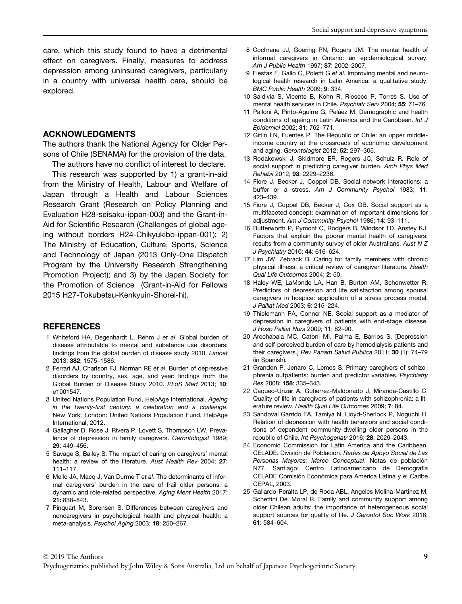care, which this study found to have a detrimental effect on caregivers. Finally, measures to address depression among uninsured caregivers, particularly in a country with universal health care, should be explored.

### ACKNOWLEDGMENTS

The authors thank the National Agency for Older Persons of Chile (SENAMA) for the provision of the data.

The authors have no conflict of interest to declare.

This research was supported by 1) a grant-in-aid from the Ministry of Health, Labour and Welfare of Japan through a Health and Labour Sciences Research Grant (Research on Policy Planning and Evaluation H28-seisaku-ippan-003) and the Grant-in-Aid for Scientific Research (Challenges of global ageing without borders H24-Chikyukibo-ippan-001); 2) The Ministry of Education, Culture, Sports, Science and Technology of Japan (2013 Only-One Dispatch Program by the University Research Strengthening Promotion Project); and 3) by the Japan Society for the Promotion of Science (Grant-in-Aid for Fellows 2015 H27-Tokubetsu-Kenkyuin-Shorei-hi).

#### **REFERENCES**

- 1 Whiteford HA, Degenhardt L, Rehm J et al. Global burden of disease attributable to mental and substance use disorders: findings from the global burden of disease study 2010. Lancet 2013; 382: 1575–1586.
- 2 Ferrari AJ, Charlson FJ, Norman RE et al. Burden of depressive disorders by country, sex, age, and year: findings from the Global Burden of Disease Study 2010. PLoS Med 2013; 10: e1001547.
- 3 United Nations Population Fund, HelpAge International. Ageing in the twenty-first century: a celebration and a challenge. New York; London: United Nations Population Fund, HelpAge International, 2012.
- 4 Gallagher D, Rose J, Rivera P, Lovett S, Thompson LW. Prevalence of depression in family caregivers. Gerontologist 1989; 29: 449–456.
- 5 Savage S, Bailey S. The impact of caring on caregivers' mental health: a review of the literature. Aust Health Rev 2004; 27: 111–117.
- 6 Mello JA, Macq J, Van Durme T et al. The determinants of informal caregivers' burden in the care of frail older persons: a dynamic and role-related perspective. Aging Ment Health 2017; 21: 838–843.
- 7 Pinquart M, Sorensen S. Differences between caregivers and noncaregivers in psychological health and physical health: a meta-analysis. Psychol Aging 2003; 18: 250–267.
- 8 Cochrane JJ, Goering PN, Rogers JM. The mental health of informal caregivers in Ontario: an epidemiological survey. Am J Public Health 1997; 87: 2002–2007.
- 9 Fiestas F, Gallo C, Poletti G et al. Improving mental and neurological health research in Latin America: a qualitative study. BMC Public Health 2009; 9: 334.
- 10 Saldivia S, Vicente B, Kohn R, Rioseco P, Torres S. Use of mental health services in Chile. Psychiatr Serv 2004; 55: 71–76.
- 11 Palloni A, Pinto-Aguirre G, Peláez M. Demographic and health conditions of ageing in Latin America and the Caribbean. Int J Epidemiol 2002; 31: 762–771.
- 12 Gitlin LN, Fuentes P. The Republic of Chile: an upper middleincome country at the crossroads of economic development and aging. Gerontologist 2012; 52: 297–305.
- 13 Rodakowski J, Skidmore ER, Rogers JC, Schulz R. Role of social support in predicting caregiver burden. Arch Phys Med Rehabil 2012; 93: 2229–2236.
- 14 Fiore J, Becker J, Coppel DB. Social network interactions: a buffer or a stress. Am J Community Psychol 1983; 11: 423–439.
- 15 Fiore J, Coppel DB, Becker J, Cox GB. Social support as a multifaceted concept: examination of important dimensions for adjustment. Am J Community Psychol 1986; 14: 93–111.
- 16 Butterworth P, Pymont C, Rodgers B, Windsor TD, Anstey KJ. Factors that explain the poorer mental health of caregivers: results from a community survey of older Australians. Aust N Z J Psychiatry 2010; 44: 616–624.
- 17 Lim JW, Zebrack B. Caring for family members with chronic physical illness: a critical review of caregiver literature. Health Qual Life Outcomes 2004; 2: 50.
- 18 Haley WE, LaMonde LA, Han B, Burton AM, Schonwetter R. Predictors of depression and life satisfaction among spousal caregivers in hospice: application of a stress process model. J Palliat Med 2003; 6: 215–224.
- 19 Thielemann PA, Conner NE. Social support as a mediator of depression in caregivers of patients with end-stage disease. J Hosp Palliat Nurs 2009; 11: 82–90.
- 20 Arechabala MC, Catoni MI, Palma E, Barrios S. [Depression and self-perceived burden of care by hemodialysis patients and their caregivers.] Rev Panam Salud Publica 2011; 30 (1): 74–79 (in Spanish).
- 21 Grandon P, Jenaro C, Lemos S. Primary caregivers of schizophrenia outpatients: burden and predictor variables. Psychiatry Res 2008; 158: 335–343.
- 22 Caqueo-Urizar A, Gutierrez-Maldonado J, Miranda-Castillo C. Quality of life in caregivers of patients with schizophrenia: a literature review. Health Qual Life Outcomes 2009; 7: 84.
- 23 Sandoval Garrido FA, Tamiya N, Lloyd-Sherlock P, Noguchi H. Relation of depression with health behaviors and social conditions of dependent community-dwelling older persons in the republic of Chile. Int Psychogeriatr 2016; 28: 2029–2043.
- 24 Economic Commission for Latin America and the Caribbean, CELADE. División de Población. Redes de Apoyo Social de Las Personas Mayores: Marco Conceptual. Notas de población N77. Santiago: Centro Latinoamericano de Demografía CELADE Comisión Económica para América Latina y el Caribe CEPAL, 2003.
- 25 Gallardo-Peralta LP, de Roda ABL, Angeles Molina-Martinez M, Schettini Del Moral R. Family and community support among older Chilean adults: the importance of heterogeneous social support sources for quality of life. J Gerontol Soc Work 2018; 61: 584–604.

Psychogeriatrics published by John Wiley & Sons Australia, Ltd on behalf of Japanese Psychogeriatric Society